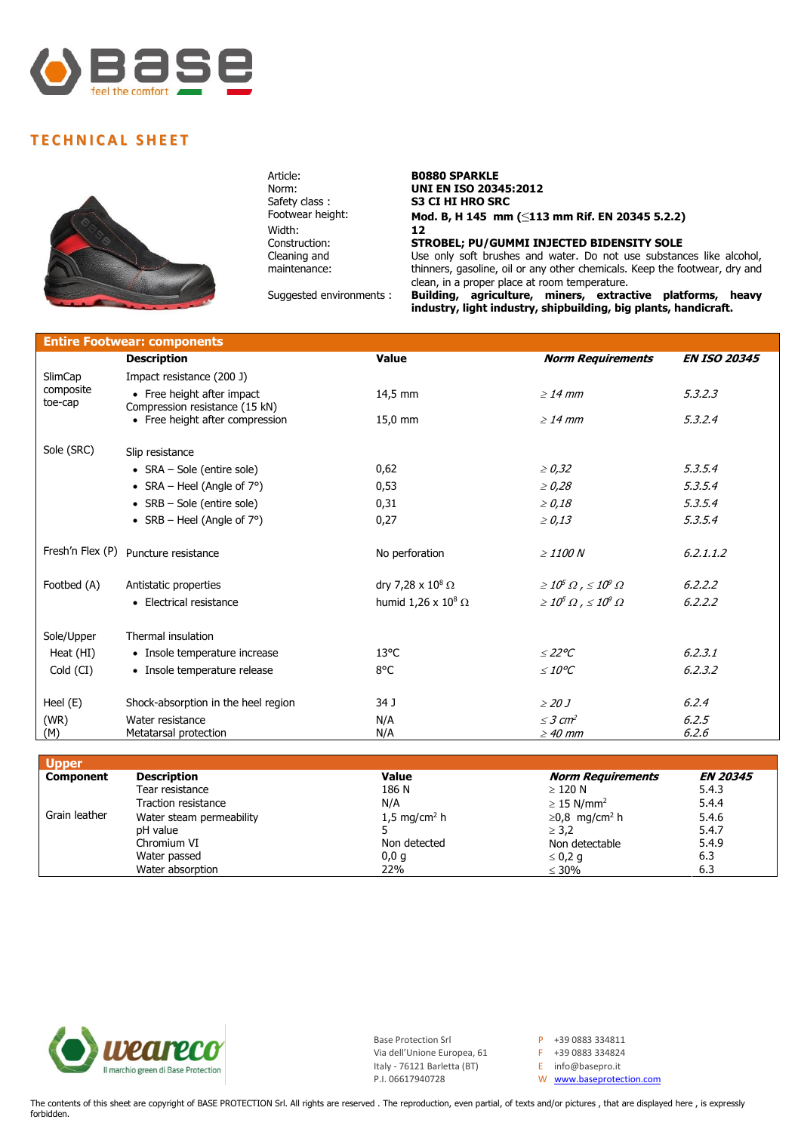

## **T E C H NI C A L S H E E T**



Width:<br>Construction: Cleaning and maintenance:

## Article: **B0880 SPARKLE**<br>Norm: **UNI EN ISO 203 Norm: UNI EN ISO 20345:2012**<br> **S3 CI HI HRO SRC** Safety class : **S3 CI HI HRO SRC**<br>Footwear height: **Mod. B. H 145 mm**  $Mod. B, H 145$  mm (≤113 mm Rif. EN 20345 5.2.2)<br>12 **STROBEL; PU/GUMMI INJECTED BIDENSITY SOLE** Use only soft brushes and water. Do not use substances like alcohol, thinners, gasoline, oil or any other chemicals. Keep the footwear, dry and clean, in a proper place at room temperature. Suggested environments : **Building, agriculture, miners, extractive platforms, heavy**

**industry, light industry, shipbuilding, big plants, handicraft.**

| <b>Entire Footwear: components</b> |                                                              |                              |                                         |                     |  |  |
|------------------------------------|--------------------------------------------------------------|------------------------------|-----------------------------------------|---------------------|--|--|
|                                    | <b>Description</b>                                           | <b>Value</b>                 | <b>Norm Requirements</b>                | <b>EN ISO 20345</b> |  |  |
| SlimCap                            | Impact resistance (200 J)                                    |                              |                                         |                     |  |  |
| composite<br>toe-cap               | • Free height after impact<br>Compression resistance (15 kN) | 14,5 mm                      | $>14$ mm                                | 5.3.2.3             |  |  |
|                                    | • Free height after compression                              | 15,0 mm                      | $\geq$ 14 mm                            | 5.3.2.4             |  |  |
| Sole (SRC)                         | Slip resistance                                              |                              |                                         |                     |  |  |
|                                    | • $SRA - Sole$ (entire sole)                                 | 0,62                         | $\geq 0.32$                             | 5, 3, 5, 4          |  |  |
|                                    | • SRA – Heel (Angle of $7^{\circ}$ )                         | 0,53                         | $\geq 0.28$                             | 5.3.5.4             |  |  |
|                                    | • SRB - Sole (entire sole)                                   | 0,31                         | $\geq 0.18$                             | 5.3.5.4             |  |  |
|                                    | • SRB – Heel (Angle of $7^{\circ}$ )                         | 0,27                         | $\ge 0.13$                              | 5.3.5.4             |  |  |
| Fresh'n Flex (P)                   | Puncture resistance                                          | No perforation               | $\geq$ 1100 N                           | 6.2.1.1.2           |  |  |
| Footbed (A)                        | Antistatic properties                                        | dry 7,28 x $10^8$ $\Omega$   | $\geq 10^5 \Omega$ , $\leq 10^9 \Omega$ | 6.2.2.2             |  |  |
|                                    | • Electrical resistance                                      | humid 1,26 x $10^8$ $\Omega$ | $\geq 10^5 \Omega$ , $\leq 10^9 \Omega$ | 6.2.2.2             |  |  |
| Sole/Upper                         | Thermal insulation                                           |                              |                                         |                     |  |  |
| Heat (HI)                          | • Insole temperature increase                                | $13^{\circ}$ C               | $\leq$ 22°C                             | 6, 2, 3, 1          |  |  |
| Cold (CI)                          | • Insole temperature release                                 | 8°C                          | $\leq$ 10°C                             | 6, 2, 3, 2          |  |  |
| Heel $(E)$                         | Shock-absorption in the heel region                          | 34 J                         | $\geq$ 20 J                             | 6.2.4               |  |  |
| (WR)                               | Water resistance                                             | N/A                          | $<$ 3 cm <sup>2</sup>                   | 6.2.5               |  |  |
| (M)                                | Metatarsal protection                                        | N/A                          | $\geq$ 40 mm                            | 6.2.6               |  |  |

| <b>Upper</b>     |                          |                         |                                 |                 |
|------------------|--------------------------|-------------------------|---------------------------------|-----------------|
| <b>Component</b> | <b>Description</b>       | Value                   | <b>Norm Requirements</b>        | <b>EN 20345</b> |
|                  | Tear resistance          | 186 N                   | $\geq$ 120 N                    | 5.4.3           |
|                  | Traction resistance      | N/A                     | $\geq$ 15 N/mm <sup>2</sup>     | 5.4.4           |
| Grain leather    | Water steam permeability | $1.5 \text{ mg/cm}^2$ h | $\geq$ 0,8 mg/cm <sup>2</sup> h | 5.4.6           |
|                  | pH value                 |                         | $\geq$ 3.2                      | 5.4.7           |
|                  | Chromium VI              | Non detected            | Non detectable                  | 5.4.9           |
|                  | Water passed             | 0,0,9                   | $\leq 0.2$ g                    | 6.3             |
|                  | Water absorption         | 22%                     | $\leq 30\%$                     | 6.3             |



Base Protection Srl  $P +39 0883 334811$ <br>Via dell'Unione Europea, 61  $P +39 0883 334824$ Via dell'Unione Europea, 61 Italy - 76121 Barletta (BT) E info@basepro.it

W [www.baseprotection.com](http://www.baseprotection.com/)

The contents of this sheet are copyright of BASE PROTECTION Srl. All rights are reserved . The reproduction, even partial, of texts and/or pictures , that are displayed here , is expressly forbidden.